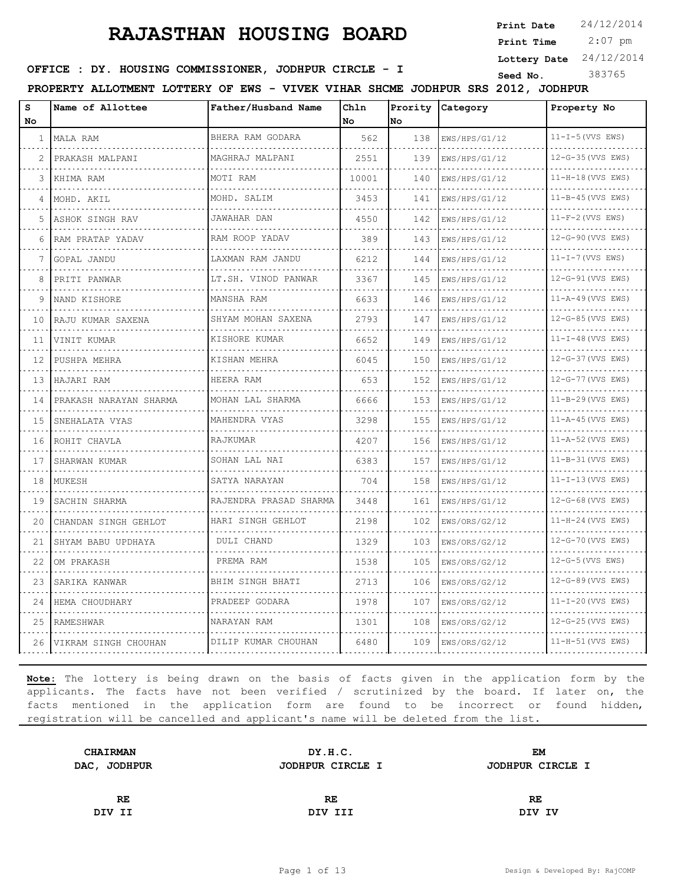**Print Date**  $24/12/2014$ 

 2:07 pm **Print Time**

**Lottery Date** 24/12/2014

### **SEED IDER : DY. HOUSING COMMISSIONER, JODHPUR CIRCLE - I** Seed No. 383765

**PROPERTY ALLOTMENT LOTTERY OF EWS - VIVEK VIHAR SHCME JODHPUR SRS 2012, JODHPUR**

| s<br>No | Name of Allottee       | Father/Husband Name             | Ch1n<br>No | Prority<br>No. | Category           | Property No                  |
|---------|------------------------|---------------------------------|------------|----------------|--------------------|------------------------------|
| 1       | MALA RAM               | BHERA RAM GODARA                | 562        | 138            | EWS/HPS/G1/12<br>. | $11-I-5$ (VVS EWS)           |
| 2       | PRAKASH MALPANI        | MAGHRAJ MALPANI                 | 2551       | 139            | EWS/HPS/G1/12      | .<br>12-G-35 (VVS EWS)       |
| 3       | KHIMA RAM              | MOTI RAM                        | 10001      | 140            | EWS/HPS/G1/12      | $11-H-18$ (VVS EWS)          |
| 4       | MOHD. AKIL             | MOHD. SALIM                     | 3453       | 141            | EWS/HPS/G1/12      | $11 - B - 45$ (VVS EWS)      |
| 5.      | ASHOK SINGH RAV        | .<br>JAWAHAR DAN                | 4550       | 142            | EWS/HPS/G1/12      | $11-F-2$ (VVS EWS)           |
| 6       | RAM PRATAP YADAV       | RAM ROOP YADAV                  | 389        | 143            | EWS/HPS/G1/12      | 12-G-90 (VVS EWS)            |
| 7       | GOPAL JANDU            | LAXMAN RAM JANDU<br>.           | 6212       | 144            | EWS/HPS/G1/12      | $11-I-7$ (VVS EWS)           |
| 8       | PRITI PANWAR           | LT.SH. VINOD PANWAR             | 3367       | 145            | EWS/HPS/G1/12      | 12-G-91 (VVS EWS)            |
| 9       | NAND KISHORE           | MANSHA RAM                      | 6633       | 146            | EWS/HPS/G1/12      | $11 - A - 49$ (VVS EWS)      |
| 10      | RAJU KUMAR SAXENA      | SHYAM MOHAN SAXENA<br>.         | 2793       | 147            | EWS/HPS/G1/12      | 12-G-85 (VVS EWS)            |
| 11      | VINIT KUMAR            | KISHORE KUMAR                   | 6652       | 149            | EWS/HPS/G1/12      | $11-I-48$ (VVS EWS)          |
| 12      | PUSHPA MEHRA           | dia a dia a dia<br>KISHAN MEHRA | 6045       | 150            | EWS/HPS/G1/12      | 12-G-37 (VVS EWS)            |
| 13      | HAJARI RAM             | HEERA RAM                       | 653        | 152            | EWS/HPS/G1/12      | 12-G-77 (VVS EWS)            |
| 14      | PRAKASH NARAYAN SHARMA | MOHAN LAL SHARMA                | 6666       | 153            | EWS/HPS/G1/12      | $11 - B - 29$ (VVS EWS)      |
| 15      | SNEHALATA VYAS         | MAHENDRA VYAS                   | 3298       | 155            | EWS/HPS/G1/12      | $11 - A - 45$ (VVS EWS)      |
| 16      | ROHIT CHAVLA           | RAJKUMAR                        | 4207       | 156            | EWS/HPS/G1/12      | $11 - A - 52$ (VVS EWS)<br>. |
| 17      | SHARWAN KUMAR          | SOHAN LAL NAI                   | 6383       | 157            | EWS/HPS/G1/12      | 11-B-31 (VVS EWS)            |
| 18      | MUKESH                 | SATYA NARAYAN                   | 704        | 158            | EWS/HPS/G1/12      | $11-I-13$ (VVS EWS)          |
| 19      | SACHIN SHARMA          | RAJENDRA PRASAD SHARMA          | 3448       | 161            | EWS/HPS/G1/12      | $12-G-68$ (VVS EWS)          |
| 20      | CHANDAN SINGH GEHLOT   | HARI SINGH GEHLOT               | 2198       | 102            | EWS/ORS/G2/12      | $11-H-24$ (VVS EWS)          |
| 21      | SHYAM BABU UPDHAYA     | DULI CHAND                      | 1329       | 103            | EWS/ORS/G2/12      | 12-G-70 (VVS EWS)            |
| 22      | OM PRAKASH             | PREMA RAM                       | 1538       | 105            | EWS/ORS/G2/12      | $12-G-5$ (VVS EWS)           |
| 23      | SARIKA KANWAR          | BHIM SINGH BHATI                | 2713       | 106            | EWS/ORS/G2/12      | 12-G-89 (VVS EWS)            |
| 24      | HEMA CHOUDHARY         | PRADEEP GODARA                  | 1978       | 107            | EWS/ORS/G2/12      | $11 - I - 20$ (VVS EWS)      |
| 25      | RAMESHWAR              | NARAYAN RAM                     | 1301       | 108            | EWS/ORS/G2/12      | 12-G-25 (VVS EWS)            |
| 26      | VIKRAM SINGH CHOUHAN   | DILIP KUMAR CHOUHAN             | 6480       | 109            | EWS/ORS/G2/12      | 11-H-51 (VVS EWS)            |

| DY.H.C.          | EM               |  |
|------------------|------------------|--|
| JODHPUR CIRCLE I | JODHPUR CIRCLE I |  |
|                  |                  |  |
| RE               | RE               |  |
| DIV III          | DIV IV           |  |
|                  |                  |  |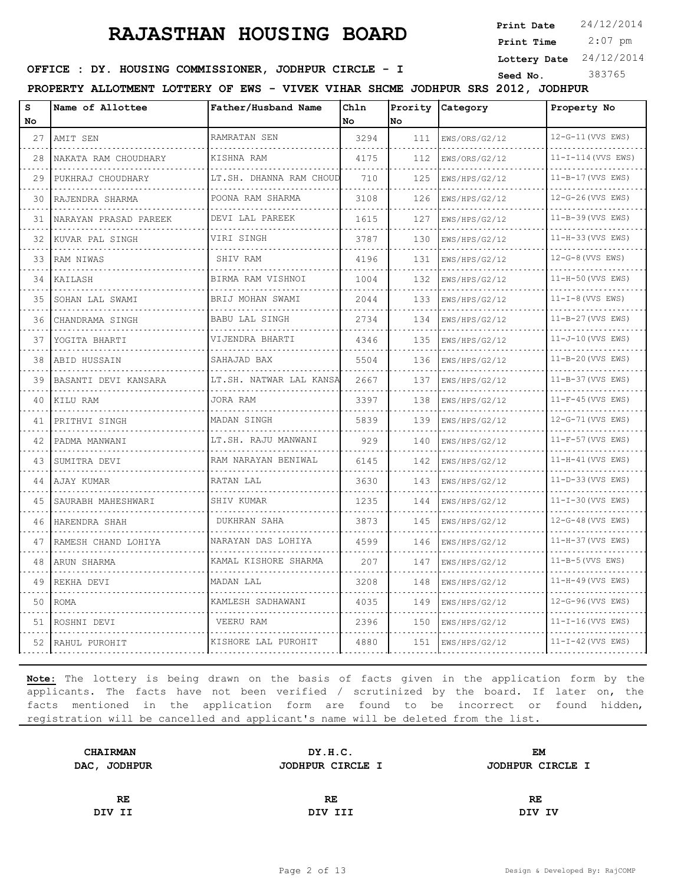**Print Date**  $24/12/2014$ 

 2:07 pm **Print Time**

**Lottery Date** 24/12/2014

### **SEED IDER : DY. HOUSING COMMISSIONER, JODHPUR CIRCLE - I** Seed No. 383765

**PROPERTY ALLOTMENT LOTTERY OF EWS - VIVEK VIHAR SHCME JODHPUR SRS 2012, JODHPUR**

| s<br>No. | Name of Allottee      | Father/Husband Name      | Chln<br>No | No. | Prority Category | Property No                   |
|----------|-----------------------|--------------------------|------------|-----|------------------|-------------------------------|
| 27       | AMIT SEN              | RAMRATAN SEN             | 3294       | 111 | EWS/ORS/G2/12    | $12-G-11$ (VVS EWS)           |
| 28       | NAKATA RAM CHOUDHARY  | KISHNA RAM               | 4175       | 112 | EWS/ORS/G2/12    | .<br>$11 - I - 114$ (VVS EWS) |
| 29       | PUKHRAJ CHOUDHARY     | LT.SH. DHANNA RAM CHOUD  | 710        | 125 | EWS/HPS/G2/12    | $11 - B - 17$ (VVS EWS)       |
| 30       | RAJENDRA SHARMA       | POONA RAM SHARMA         | 3108       | 126 | EWS/HPS/G2/12    | 12-G-26 (VVS EWS)             |
| 31       | NARAYAN PRASAD PAREEK | .<br>DEVI LAL PAREEK     | 1615       | 127 | EWS/HPS/G2/12    | 11-B-39 (VVS EWS)             |
| 32       | .<br>KUVAR PAL SINGH  | VIRI SINGH               | 3787       | 130 | EWS/HPS/G2/12    | 11-H-33 (VVS EWS)             |
| 33       | RAM NIWAS             | SHIV RAM                 | 4196       | 131 | EWS/HPS/G2/12    | $12-G-8$ (VVS EWS)            |
| 34       | KAILASH               | BIRMA RAM VISHNOI        | 1004       | 132 | EWS/HPS/G2/12    | 11-H-50 (VVS EWS)             |
| 35       | SOHAN LAL SWAMI       | BRIJ MOHAN SWAMI         | 2044       | 133 | EWS/HPS/G2/12    | $11-I-8$ (VVS EWS)            |
| 36       | CHANDRAMA SINGH       | <b>BABU LAL SINGH</b>    | 2734       | 134 | EWS/HPS/G2/12    | $11-B-27$ (VVS EWS)           |
| 37       | YOGITA BHARTI         | VIJENDRA BHARTI          | 4346       | 135 | EWS/HPS/G2/12    | 11-J-10 (VVS EWS)             |
| 38       | ABID HUSSAIN          | SAHAJAD BAX              | 5504       | 136 | EWS/HPS/G2/12    | 11-B-20 (VVS EWS)             |
| 39       | BASANTI DEVI KANSARA  | LT.SH. NATWAR LAL KANSA  | 2667       | 137 | EWS/HPS/G2/12    | 11-B-37 (VVS EWS)             |
| 40       | KILU RAM              | JORA RAM                 | 3397       | 138 | EWS/HPS/G2/12    | $11-F-45$ (VVS EWS)           |
| 41       | PRITHVI SINGH         | MADAN SINGH              | 5839       | 139 | EWS/HPS/G2/12    | 12-G-71 (VVS EWS)             |
| 42       | PADMA MANWANI         | LT.SH. RAJU MANWANI      | 929        | 140 | EWS/HPS/G2/12    | 11-F-57 (VVS EWS)             |
| 43       | SUMITRA DEVI          | RAM NARAYAN BENIWAL      | 6145       | 142 | EWS/HPS/G2/12    | 11-H-41 (VVS EWS)             |
| 44       | AJAY KUMAR            | RATAN LAL                | 3630       | 143 | EWS/HPS/G2/12    | $11-D-33$ (VVS EWS)           |
| 45       | SAURABH MAHESHWARI    | SHIV KUMAR               | 1235       | 144 | EWS/HPS/G2/12    | $11 - I - 30$ (VVS EWS)       |
| 46       | HARENDRA SHAH         | .<br><b>DUKHRAN SAHA</b> | 3873       | 145 | EWS/HPS/G2/12    | 12-G-48 (VVS EWS)             |
| 47       | RAMESH CHAND LOHIYA   | NARAYAN DAS LOHIYA       | 4599       | 146 | EWS/HPS/G2/12    | 11-H-37 (VVS EWS)             |
| 48       | ARUN SHARMA           | KAMAL KISHORE SHARMA     | 207        | 147 | EWS/HPS/G2/12    | $11-B-5$ (VVS EWS)            |
| 49       | REKHA DEVI            | MADAN LAL                | 3208       | 148 | EWS/HPS/G2/12    | $11-H-49$ (VVS EWS)           |
| 50       | <b>ROMA</b>           | KAMLESH SADHAWANI        | 4035       | 149 | EWS/HPS/G2/12    | 12-G-96 (VVS EWS)             |
| 51       | ROSHNI DEVI           | VEERU RAM                | 2396       | 150 | EWS/HPS/G2/12    | $11 - I - 16$ (VVS EWS)       |
|          | 52 RAHUL PUROHIT      | KISHORE LAL PUROHIT      | 4880       | 151 | EWS/HPS/G2/12    | $11-I-42$ (VVS EWS)           |

| <b>CHAIRMAN</b> | DY.H.C.          | <b>EM</b>        |  |
|-----------------|------------------|------------------|--|
| DAC, JODHPUR    | JODHPUR CIRCLE I | JODHPUR CIRCLE I |  |
|                 |                  |                  |  |
| <b>RE</b>       | RE.              | RE               |  |
| DIV II          | DIV III          | DIV IV           |  |
|                 |                  |                  |  |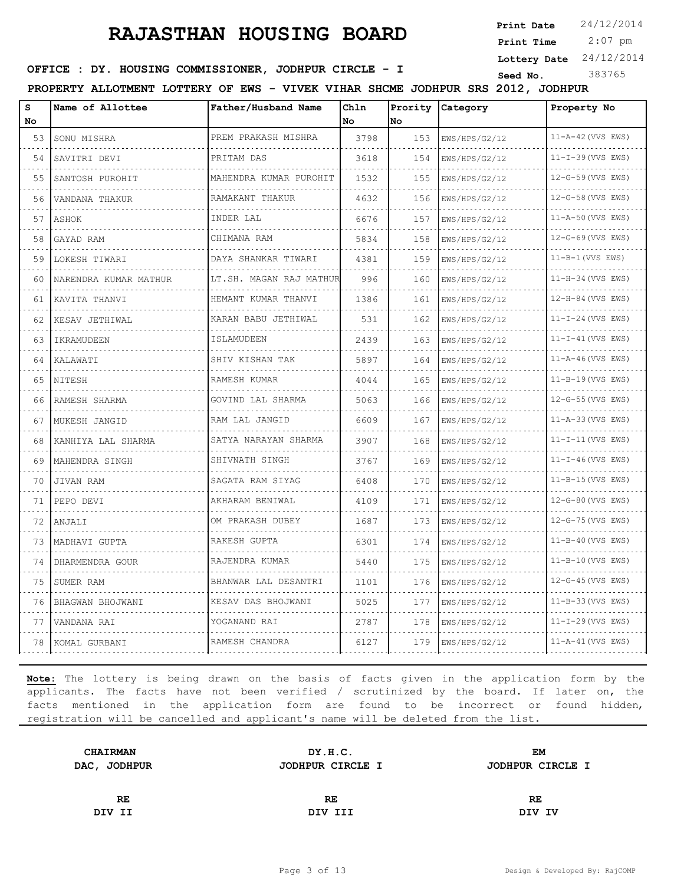**Print Date**  $24/12/2014$ 

 2:07 pm **Print Time**

**Lottery Date** 24/12/2014

### **SEED IDER : DY. HOUSING COMMISSIONER, JODHPUR CIRCLE - I** Seed No. 383765

**PROPERTY ALLOTMENT LOTTERY OF EWS - VIVEK VIHAR SHCME JODHPUR SRS 2012, JODHPUR**

| s<br>No | Name of Allottee      | Father/Husband Name      | Ch1n<br>No | Prority<br>No. | Category           | Property No                  |
|---------|-----------------------|--------------------------|------------|----------------|--------------------|------------------------------|
| 53      | SONU MISHRA           | PREM PRAKASH MISHRA      | 3798       | 153            | EWS/HPS/G2/12      | $11 - A - 42$ (VVS EWS)      |
| 54      | .<br>SAVITRI DEVI     | PRITAM DAS               | 3618       | 154            | .<br>EWS/HPS/G2/12 | .<br>$11 - I - 39$ (VVS EWS) |
| 55      | SANTOSH PUROHIT       | MAHENDRA KUMAR PUROHIT   | 1532       | 155            | EWS/HPS/G2/12      | 12-G-59 (VVS EWS)            |
| 56      | VANDANA THAKUR        | RAMAKANT THAKUR          | 4632       | 156            | EWS/HPS/G2/12      | 12-G-58 (VVS EWS)            |
| 57      | ASHOK                 | INDER LAL                | 6676       | 157            | EWS/HPS/G2/12      | 11-A-50 (VVS EWS)            |
| 58      | GAYAD RAM             | CHIMANA RAM              | 5834       | 158            | EWS/HPS/G2/12      | 12-G-69 (VVS EWS)            |
| 59      | LOKESH TIWARI         | DAYA SHANKAR TIWARI<br>. | 4381       | 159            | EWS/HPS/G2/12      | $11 - B - 1$ (VVS EWS)       |
| 60      | NARENDRA KUMAR MATHUR | LT.SH. MAGAN RAJ MATHUR  | 996        | 160            | .<br>EWS/HPS/G2/12 | $11-H-34$ (VVS EWS)          |
| 61      | KAVITA THANVI         | HEMANT KUMAR THANVI      | 1386       | 161            | EWS/HPS/G2/12      | $12-H-84$ (VVS EWS)          |
| 62      | KESAV JETHIWAL        | KARAN BABU JETHIWAL      | 531        | 162            | EWS/HPS/G2/12      | $11-I-24$ (VVS EWS)          |
| 63      | IKRAMUDEEN            | ISLAMUDEEN               | 2439       | 163            | EWS/HPS/G2/12      | $11-I-41$ (VVS EWS)          |
| 64      | KALAWATI              | SHIV KISHAN TAK          | 5897       | 164            | EWS/HPS/G2/12      | $11 - A - 46$ (VVS EWS)      |
| 65      | NITESH                | RAMESH KUMAR             | 4044       | 165            | EWS/HPS/G2/12      | $11 - B - 19$ (VVS EWS)      |
| 66      | RAMESH SHARMA         | GOVIND LAL SHARMA        | 5063       | 166            | EWS/HPS/G2/12      | 12-G-55 (VVS EWS)            |
| 67      | MUKESH JANGID         | RAM LAL JANGID           | 6609       | 167            | EWS/HPS/G2/12      | 11-A-33 (VVS EWS)            |
| 68      | KANHIYA LAL SHARMA    | SATYA NARAYAN SHARMA     | 3907       | 168            | EWS/HPS/G2/12      | $11-I-11$ (VVS EWS)          |
| 69      | MAHENDRA SINGH        | SHIVNATH SINGH           | 3767       | 169            | EWS/HPS/G2/12      | $11-I-46$ (VVS EWS)          |
| 70      | JIVAN RAM             | SAGATA RAM SIYAG         | 6408       | 170            | EWS/HPS/G2/12      | $11 - B - 15$ (VVS EWS)      |
| 71      | PEPO DEVI             | AKHARAM BENIWAL          | 4109       | 171            | EWS/HPS/G2/12      | 12-G-80 (VVS EWS)            |
| 72      | ANJALI                | OM PRAKASH DUBEY         | 1687       | 173            | EWS/HPS/G2/12      | 12-G-75 (VVS EWS)            |
| 73      | MADHAVI GUPTA         | RAKESH GUPTA             | 6301       | 174            | EWS/HPS/G2/12      | $11 - B - 40$ (VVS EWS)      |
| 74      | DHARMENDRA GOUR       | RAJENDRA KUMAR           | 5440       | 175            | EWS/HPS/G2/12      | $11 - B - 10$ (VVS EWS)      |
| 75      | SUMER RAM             | BHANWAR LAL DESANTRI     | 1101       | 176            | EWS/HPS/G2/12      | $12-G-45$ (VVS EWS)          |
| 76      | BHAGWAN BHOJWANI      | KESAV DAS BHOJWANI       | 5025       | 177            | EWS/HPS/G2/12      | $11-B-33$ (VVS EWS)          |
| 77      | VANDANA RAI           | YOGANAND RAI             | 2787       | 178            | EWS/HPS/G2/12      | $11-I-29$ (VVS EWS)          |
| 78      | KOMAL GURBANI         | RAMESH CHANDRA           | 6127       | 179            | EWS/HPS/G2/12      | $11 - A - 41$ (VVS EWS)      |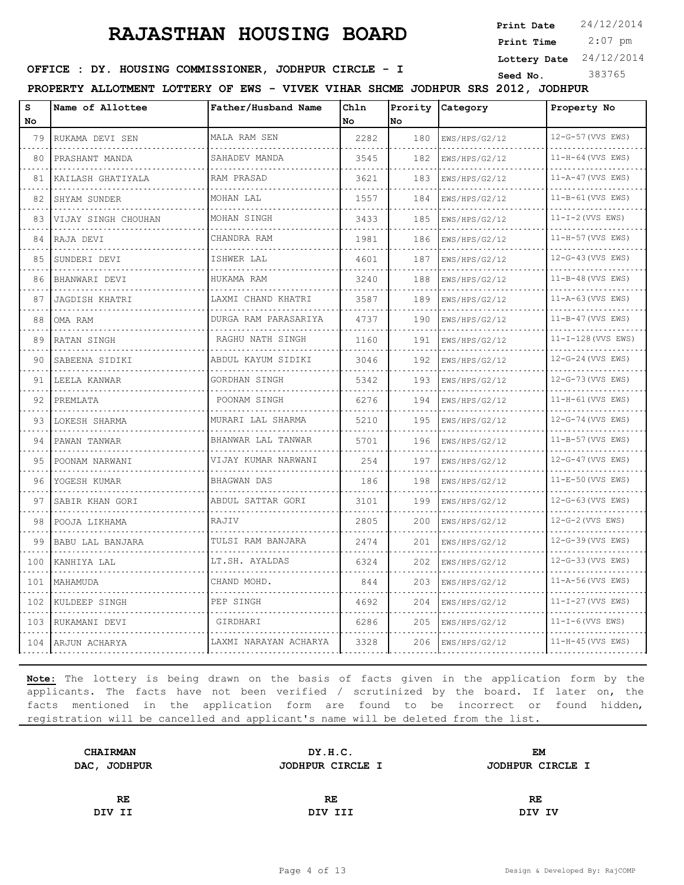**Print Date**  $24/12/2014$ 

 2:07 pm **Print Time**

**Lottery Date** 24/12/2014

### **SEED IDER : DY. HOUSING COMMISSIONER, JODHPUR CIRCLE - I** Seed No. 383765

**PROPERTY ALLOTMENT LOTTERY OF EWS - VIVEK VIHAR SHCME JODHPUR SRS 2012, JODHPUR**

| s<br>No | Name of Allottee         | Father/Husband Name      | Chln<br>No | No  | Prority Category | Property No             |
|---------|--------------------------|--------------------------|------------|-----|------------------|-------------------------|
| 79      | RUKAMA DEVI SEN          | MALA RAM SEN             | 2282       | 180 | EWS/HPS/G2/12    | 12-G-57 (VVS EWS)       |
| 80      | PRASHANT MANDA           | SAHADEV MANDA            | 3545       | 182 | EWS/HPS/G2/12    | 11-H-64 (VVS EWS)       |
| 81      | KAILASH GHATIYALA        | RAM PRASAD               | 3621       | 183 | EWS/HPS/G2/12    | $11 - A - 47$ (VVS EWS) |
| 82      | SHYAM SUNDER             | MOHAN LAL                | 1557       | 184 | EWS/HPS/G2/12    | 11-B-61 (VVS EWS)       |
| 83      | .<br>VIJAY SINGH CHOUHAN | MOHAN SINGH              | 3433       | 185 | EWS/HPS/G2/12    | $11-I-2$ (VVS EWS)      |
| 84      | RAJA DEVI                | CHANDRA RAM              | 1981       | 186 | EWS/HPS/G2/12    | 11-H-57 (VVS EWS)       |
| 85      | SUNDERI DEVI             | ISHWER LAL               | 4601       | 187 | EWS/HPS/G2/12    | 12-G-43 (VVS EWS)       |
| 86      | BHANWARI DEVI            | HUKAMA RAM               | 3240       | 188 | EWS/HPS/G2/12    | $11 - B - 48$ (VVS EWS) |
| 87      | JAGDISH KHATRI           | LAXMI CHAND KHATRI       | 3587       | 189 | EWS/HPS/G2/12    | $11 - A - 63$ (VVS EWS) |
| 88      | OMA RAM                  | DURGA RAM PARASARIYA     | 4737       | 190 | EWS/HPS/G2/12    | 11-B-47 (VVS EWS)       |
| 89      | RATAN SINGH              | .<br>RAGHU NATH SINGH    | 1160       | 191 | EWS/HPS/G2/12    | 11-I-128 (VVS EWS)      |
| 90      | SABEENA SIDIKI           | .<br>ABDUL KAYUM SIDIKI  | 3046       | 192 | EWS/HPS/G2/12    | 12-G-24 (VVS EWS)       |
| 91      | LEELA KANWAR             | GORDHAN SINGH            | 5342       | 193 | EWS/HPS/G2/12    | 12-G-73 (VVS EWS)       |
| 92      | PREMLATA                 | .<br>POONAM SINGH        | 6276       | 194 | EWS/HPS/G2/12    | 11-H-61 (VVS EWS)       |
| 93      | LOKESH SHARMA            | MURARI LAL SHARMA        | 5210       | 195 | EWS/HPS/G2/12    | 12-G-74 (VVS EWS)       |
| 94      | PAWAN TANWAR             | BHANWAR LAL TANWAR       | 5701       | 196 | EWS/HPS/G2/12    | 11-B-57 (VVS EWS)       |
| 95      | POONAM NARWANI           | .<br>VIJAY KUMAR NARWANI | 254        | 197 | EWS/HPS/G2/12    | 12-G-47 (VVS EWS)       |
| 96      | YOGESH KUMAR             | BHAGWAN DAS              | 186        | 198 | EWS/HPS/G2/12    | 11-E-50 (VVS EWS)       |
| 97      | SABIR KHAN GORI          | ABDUL SATTAR GORI        | 3101       | 199 | EWS/HPS/G2/12    | 12-G-63 (VVS EWS)       |
| 98      | POOJA LIKHAMA            | RAJIV                    | 2805       | 200 | EWS/HPS/G2/12    | 12-G-2 (VVS EWS)        |
| 99      | BABU LAL BANJARA         | TULSI RAM BANJARA        | 2474       | 201 | EWS/HPS/G2/12    | 12-G-39 (VVS EWS)       |
| 100     | KANHIYA LAL              | LT.SH. AYALDAS           | 6324       | 202 | EWS/HPS/G2/12    | 12-G-33 (VVS EWS)       |
| 101     | MAHAMUDA                 | CHAND MOHD.              | 844        | 203 | EWS/HPS/G2/12    | 11-A-56 (VVS EWS)       |
| 102     | KULDEEP SINGH            | PEP SINGH                | 4692       | 204 | EWS/HPS/G2/12    | $11 - I - 27$ (VVS EWS) |
| 103     | RUKAMANI DEVI            | GIRDHARI                 | 6286       | 205 | EWS/HPS/G2/12    | $11-I-6$ (VVS EWS)      |
|         | 104 ARJUN ACHARYA        | LAXMI NARAYAN ACHARYA    | 3328       | 206 | EWS/HPS/G2/12    | $11-H-45$ (VVS EWS)     |

| DY.H.C.          | EМ               |
|------------------|------------------|
| JODHPUR CIRCLE I | JODHPUR CIRCLE I |
|                  |                  |
| RE               | RE               |
| DIV III          | DIV IV           |
|                  |                  |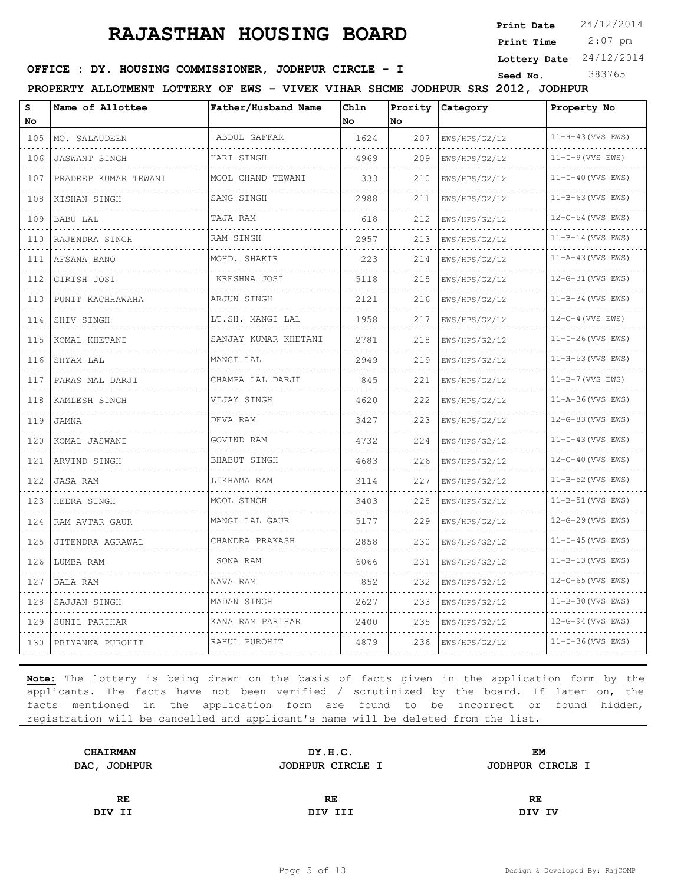**Print Date**  $24/12/2014$ 

 2:07 pm **Print Time**

**Lottery Date** 24/12/2014

### **SEED IDER : DY. HOUSING COMMISSIONER, JODHPUR CIRCLE - I** Seed No. 383765

**PROPERTY ALLOTMENT LOTTERY OF EWS - VIVEK VIHAR SHCME JODHPUR SRS 2012, JODHPUR**

| S<br>No  | Name of Allottee     | Father/Husband Name          | Chln<br>l No | Prority<br>No. | Category           | Property No             |
|----------|----------------------|------------------------------|--------------|----------------|--------------------|-------------------------|
| 105      | MO. SALAUDEEN        | ABDUL GAFFAR                 | 1624         | 207            | EWS/HPS/G2/12      | $11-H-43$ (VVS EWS)     |
| .<br>106 | <b>JASWANT SINGH</b> | HARI SINGH                   | 4969         | 209            | .<br>EWS/HPS/G2/12 | .<br>$11-I-9$ (VVS EWS) |
| 107      | PRADEEP KUMAR TEWANI | MOOL CHAND TEWANI            | 333          | 210            | EWS/HPS/G2/12      | $11-I-40$ (VVS EWS)     |
| 108      | KISHAN SINGH         | SANG SINGH                   | 2988         | 211            | EWS/HPS/G2/12      | $11 - B - 63$ (VVS EWS) |
| .<br>109 | BABU LAL             | a da da da da da<br>TAJA RAM | 618          | 212            | .<br>EWS/HPS/G2/12 | .<br>12-G-54 (VVS EWS)  |
| 110      | RAJENDRA SINGH       | RAM SINGH                    | 2957         | 213            | EWS/HPS/G2/12      | $11 - B - 14$ (VVS EWS) |
| .<br>111 | AFSANA BANO          | MOHD. SHAKIR                 | 223          | 214            | EWS/HPS/G2/12      | $11 - A - 43$ (VVS EWS) |
| .<br>112 | GIRISH JOSI          | .<br>KRESHNA JOSI            | 5118         | 215            | .<br>EWS/HPS/G2/12 | .<br>12-G-31 (VVS EWS)  |
| 113      | PUNIT KACHHAWAHA     | ARJUN SINGH                  | 2121         | 216            | EWS/HPS/G2/12      | $11 - B - 34$ (VVS EWS) |
| 114      | SHIV SINGH           | LT.SH. MANGI LAL             | 1958         | 217            | EWS/HPS/G2/12      | $12-G-4$ (VVS EWS)      |
| .<br>115 | .<br>KOMAL KHETANI   | SANJAY KUMAR KHETANI         | 2781         | 218            | EWS/HPS/G2/12      | $11 - I - 26$ (VVS EWS) |
| 116      | SHYAM LAL            | MANGI LAL                    | 2949         | 219            | EWS/HPS/G2/12      | 11-H-53 (VVS EWS)       |
| .<br>117 | PARAS MAL DARJI      | CHAMPA LAL DARJI<br>.        | 845          | 221            | EWS/HPS/G2/12<br>. | $11-B-7$ (VVS EWS)      |
| .<br>118 | KAMLESH SINGH        | VIJAY SINGH                  | 4620         | 222            | EWS/HPS/G2/12      | $11 - A - 36$ (VVS EWS) |
| 119      | JAMNA                | DEVA RAM                     | 3427         | 223            | EWS/HPS/G2/12      | 12-G-83 (VVS EWS)       |
| .<br>120 | KOMAL JASWANI        | GOVIND RAM<br>.              | 4732         | 224            | EWS/HPS/G2/12<br>. | $11-I-43$ (VVS EWS)     |
| .<br>121 | ARVIND SINGH         | BHABUT SINGH                 | 4683         | 226            | EWS/HPS/G2/12      | $12-G-40$ (VVS EWS)     |
| 122      | JASA RAM             | LIKHAMA RAM                  | 3114         | 227            | EWS/HPS/G2/12      | $11 - B - 52$ (VVS EWS) |
| 123      | HEERA SINGH          | MOOL SINGH                   | 3403         | 228            | EWS/HPS/G2/12      | 11-B-51 (VVS EWS)       |
| 124      | RAM AVTAR GAUR       | MANGI LAL GAUR               | 5177         | 229            | EWS/HPS/G2/12      | 12-G-29 (VVS EWS)       |
| 125      | JITENDRA AGRAWAL     | CHANDRA PRAKASH              | 2858         | 230            | EWS/HPS/G2/12      | $11 - I - 45$ (VVS EWS) |
| 126      | LUMBA RAM            | SONA RAM                     | 6066         | 231            | EWS/HPS/G2/12      | $11 - B - 13$ (VVS EWS) |
| 127<br>. | DALA RAM             | NAVA RAM                     | 852          | 232            | EWS/HPS/G2/12      | $12-G-65$ (VVS EWS)     |
| 128      | SAJJAN SINGH         | MADAN SINGH                  | 2627         | 233            | EWS/HPS/G2/12      | 11-B-30 (VVS EWS)       |
| .<br>129 | SUNIL PARIHAR        | KANA RAM PARIHAR             | 2400         | 235            | EWS/HPS/G2/12      | $12-G-94$ (VVS EWS)     |
| 130      | PRIYANKA PUROHIT     | RAHUL PUROHIT                | 4879         | 236            | EWS/HPS/G2/12      | $11 - I - 36$ (VVS EWS) |

| DY.H.C.          | EМ               |
|------------------|------------------|
| JODHPUR CIRCLE I | JODHPUR CIRCLE I |
|                  |                  |
| RE               | RE               |
| DIV III          | DIV IV           |
|                  |                  |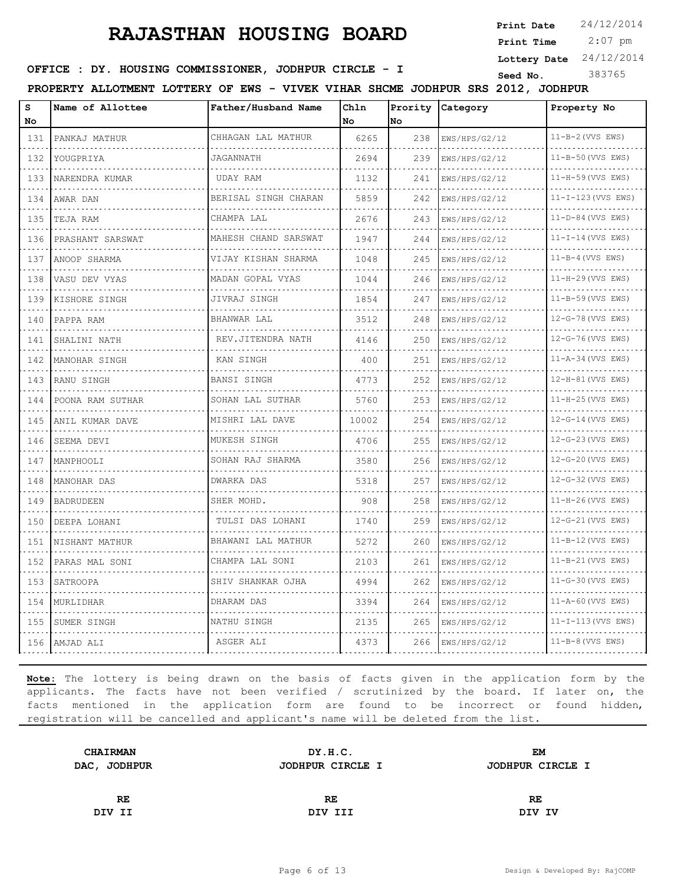**Print Date**  $24/12/2014$ 

 2:07 pm **Print Time**

**Lottery Date** 24/12/2014

### **SEED IDER : DY. HOUSING COMMISSIONER, JODHPUR CIRCLE - I** Seed No. 383765

**PROPERTY ALLOTMENT LOTTERY OF EWS - VIVEK VIHAR SHCME JODHPUR SRS 2012, JODHPUR**

| s<br>No          | Name of Allottee | Father/Husband Name              | Chln<br>No | lNo. | Prority Category | Property No              |
|------------------|------------------|----------------------------------|------------|------|------------------|--------------------------|
| 131              | PANKAJ MATHUR    | CHHAGAN LAL MATHUR               | 6265       | 238  | EWS/HPS/G2/12    | $11-B-2$ (VVS EWS)       |
| .<br>132         | YOUGPRIYA        | JAGANNATH                        | 2694       | 239  | EWS/HPS/G2/12    | .<br>11-B-50 (VVS EWS)   |
| 133              | NARENDRA KUMAR   | UDAY RAM                         | 1132       | 241  | EWS/HPS/G2/12    | 11-H-59 (VVS EWS)        |
| 134              | AWAR DAN         | BERISAL SINGH CHARAN             | 5859       | 242  | EWS/HPS/G2/12    | 11-I-123 (VVS EWS)       |
| .<br>135         | TEJA RAM         | CHAMPA LAL                       | 2676       | 243  | EWS/HPS/G2/12    | .<br>$11-D-84$ (VVS EWS) |
| 136              | PRASHANT SARSWAT | MAHESH CHAND SARSWAT             | 1947       | 244  | EWS/HPS/G2/12    | $11-I-14$ (VVS EWS)      |
| 137              | ANOOP SHARMA     | VIJAY KISHAN SHARMA              | 1048       | 245  | EWS/HPS/G2/12    | $11 - B - 4$ (VVS EWS)   |
| .<br>138         | VASU DEV VYAS    | MADAN GOPAL VYAS                 | 1044       | 246  | EWS/HPS/G2/12    | 11-H-29 (VVS EWS)        |
| 139              | KISHORE SINGH    | JIVRAJ SINGH                     | 1854       | 247  | EWS/HPS/G2/12    | 11-B-59 (VVS EWS)        |
| 140              | PAPPA RAM        | BHANWAR LAL                      | 3512       | 248  | EWS/HPS/G2/12    | 12-G-78 (VVS EWS)        |
| .<br>141         | SHALINI NATH     | REV.JITENDRA NATH                | 4146       | 250  | EWS/HPS/G2/12    | 12-G-76 (VVS EWS)        |
| 142<br>.         | MANOHAR SINGH    | KAN SINGH                        | 400        | 251  | EWS/HPS/G2/12    | 11-A-34 (VVS EWS)        |
| 143<br>.         | RANU SINGH       | BANSI SINGH                      | 4773       | 252  | EWS/HPS/G2/12    | 12-H-81 (VVS EWS)        |
| 144              | POONA RAM SUTHAR | SOHAN LAL SUTHAR                 | 5760       | 253  | EWS/HPS/G2/12    | 11-H-25 (VVS EWS)        |
| 145              | ANIL KUMAR DAVE  | MISHRI LAL DAVE                  | 10002      | 254  | EWS/HPS/G2/12    | 12-G-14 (VVS EWS)        |
| 146              | SEEMA DEVI       | MUKESH SINGH                     | 4706       | 255  | EWS/HPS/G2/12    | 12-G-23 (VVS EWS)<br>.   |
| .<br>147         | MANPHOOLI        | SOHAN RAJ SHARMA                 | 3580       | 256  | EWS/HPS/G2/12    | 12-G-20 (VVS EWS)        |
| 148              | MANOHAR DAS      | <b>DWARKA DAS</b>                | 5318       | 257  | EWS/HPS/G2/12    | 12-G-32 (VVS EWS)        |
| 149<br>.         | BADRUDEEN        | SHER MOHD.                       | 908        | 258  | EWS/HPS/G2/12    | 11-H-26 (VVS EWS)        |
| 150              | DEEPA LOHANI     | TULSI DAS LOHANI                 | 1740       | 259  | EWS/HPS/G2/12    | 12-G-21 (VVS EWS)        |
| 151<br>د د د د د | NISHANT MATHUR   | BHAWANI LAL MATHUR               | 5272       | 260  | EWS/HPS/G2/12    | 11-B-12 (VVS EWS)        |
| 152              | PARAS MAL SONI   | CHAMPA LAL SONI                  | 2103       | 261  | EWS/HPS/G2/12    | 11-B-21 (VVS EWS)        |
| .<br>153         | SATROOPA         | SHIV SHANKAR OJHA                | 4994       | 262  | EWS/HPS/G2/12    | 11-G-30 (VVS EWS)        |
| 154              | MURLIDHAR        | DHARAM DAS                       | 3394       | 264  | EWS/HPS/G2/12    | 11-A-60 (VVS EWS)        |
| 155              | SUMER SINGH      | NATHU SINGH<br>dia a a a a a a a | 2135       | 265  | EWS/HPS/G2/12    | $11 - I - 113$ (VVS EWS) |
| 156              | AMJAD ALI        | ASGER ALI                        | 4373       | 266  | EWS/HPS/G2/12    | $11-B-8$ (VVS EWS)       |

| <b>CHAIRMAN</b> | DY.H.C.          | EM               |  |
|-----------------|------------------|------------------|--|
| DAC, JODHPUR    | JODHPUR CIRCLE I | JODHPUR CIRCLE I |  |
|                 |                  |                  |  |
| RE              | RE.              | RE               |  |
| DIV II          | DIV III          | DIV IV           |  |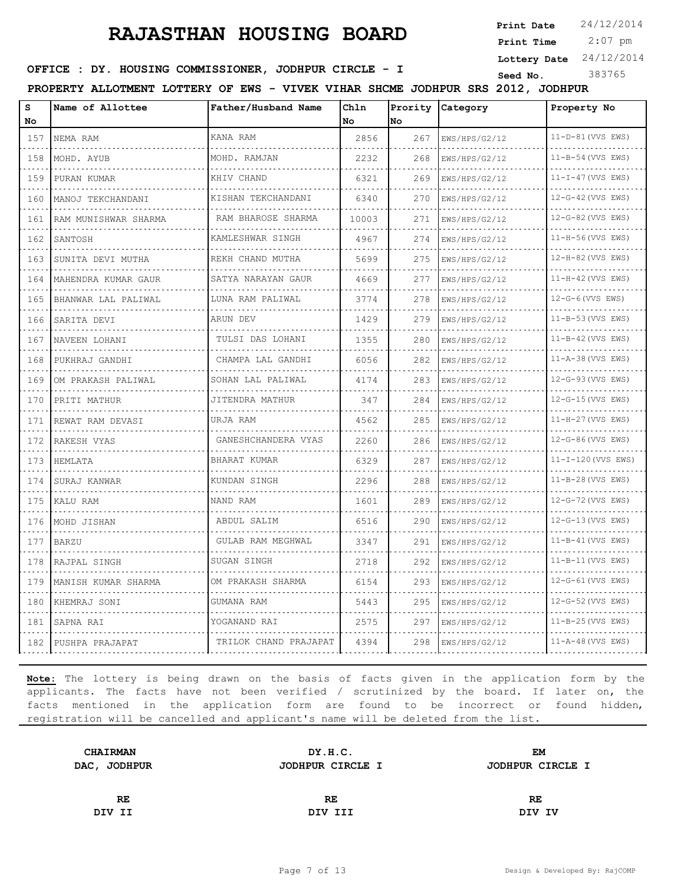**Print Date**  $24/12/2014$ 

 2:07 pm **Print Time**

**Lottery Date** 24/12/2014

### **SEED IDER : DY. HOUSING COMMISSIONER, JODHPUR CIRCLE - I** Seed No. 383765

**PROPERTY ALLOTMENT LOTTERY OF EWS - VIVEK VIHAR SHCME JODHPUR SRS 2012, JODHPUR**

| s<br>No             | Name of Allottee     | Father/Husband Name    | Chln<br>No | No  | Prority Category | Property No             |
|---------------------|----------------------|------------------------|------------|-----|------------------|-------------------------|
| 157                 | NEMA RAM             | KANA RAM               | 2856       | 267 | EWS/HPS/G2/12    | 11-D-81 (VVS EWS)       |
| 158                 | .<br>MOHD. AYUB      | MOHD. RAMJAN           | 2232       | 268 | EWS/HPS/G2/12    | 11-B-54 (VVS EWS)       |
| 159                 | PURAN KUMAR          | KHIV CHAND             | 6321       | 269 | EWS/HPS/G2/12    | $11-I-47$ (VVS EWS)     |
| 160                 | MANOJ TEKCHANDANI    | KISHAN TEKCHANDANI     | 6340       | 270 | EWS/HPS/G2/12    | 12-G-42 (VVS EWS)       |
| 161                 | RAM MUNISHWAR SHARMA | RAM BHAROSE SHARMA     | 10003      | 271 | EWS/HPS/G2/12    | 12-G-82 (VVS EWS)       |
| 162                 | SANTOSH              | .<br>KAMLESHWAR SINGH  | 4967       | 274 | EWS/HPS/G2/12    | 11-H-56 (VVS EWS)       |
| 163                 | SUNITA DEVI MUTHA    | REKH CHAND MUTHA       | 5699       | 275 | EWS/HPS/G2/12    | 12-H-82 (VVS EWS)       |
| 164                 | MAHENDRA KUMAR GAUR  | SATYA NARAYAN GAUR     | 4669       | 277 | EWS/HPS/G2/12    | 11-H-42 (VVS EWS)       |
| 165                 | BHANWAR LAL PALIWAL  | LUNA RAM PALIWAL       | 3774       | 278 | EWS/HPS/G2/12    | 12-G-6 (VVS EWS)        |
| 166                 | SARITA DEVI          | ARUN DEV               | 1429       | 279 | EWS/HPS/G2/12    | 11-B-53 (VVS EWS)       |
| 167                 | NAVEEN LOHANI        | TULSI DAS LOHANI       | 1355       | 280 | EWS/HPS/G2/12    | 11-B-42 (VVS EWS)       |
| 168                 | PUKHRAJ GANDHI       | CHAMPA LAL GANDHI      | 6056       | 282 | EWS/HPS/G2/12    | 11-A-38 (VVS EWS)       |
| 169                 | OM PRAKASH PALIWAL   | SOHAN LAL PALIWAL<br>. | 4174       | 283 | EWS/HPS/G2/12    | 12-G-93 (VVS EWS)       |
| 170                 | PRITI MATHUR         | JITENDRA MATHUR        | 347        | 284 | EWS/HPS/G2/12    | 12-G-15 (VVS EWS)       |
| 171                 | REWAT RAM DEVASI     | URJA RAM               | 4562       | 285 | EWS/HPS/G2/12    | 11-H-27 (VVS EWS)       |
| 172<br>$-1 - 1 - 1$ | RAKESH VYAS          | GANESHCHANDERA VYAS    | 2260       | 286 | EWS/HPS/G2/12    | 12-G-86 (VVS EWS)       |
| 173                 | HEMLATA              | BHARAT KUMAR           | 6329       | 287 | EWS/HPS/G2/12    | 11-I-120 (VVS EWS)      |
| 174                 | SURAJ KANWAR         | KUNDAN SINGH           | 2296       | 288 | EWS/HPS/G2/12    | 11-B-28 (VVS EWS)       |
| 175                 | KALU RAM             | NAND RAM               | 1601       | 289 | EWS/HPS/G2/12    | 12-G-72 (VVS EWS)       |
| 176                 | MOHD JISHAN          | ABDUL SALIM            | 6516       | 290 | EWS/HPS/G2/12    | 12-G-13 (VVS EWS)       |
| 177                 | <b>BARZU</b>         | GULAB RAM MEGHWAL      | 3347       | 291 | EWS/HPS/G2/12    | 11-B-41 (VVS EWS)       |
| 178                 | RAJPAL SINGH         | SUGAN SINGH            | 2718       | 292 | EWS/HPS/G2/12    | 11-B-11 (VVS EWS)       |
| 179                 | MANISH KUMAR SHARMA  | OM PRAKASH SHARMA      | 6154       | 293 | EWS/HPS/G2/12    | 12-G-61 (VVS EWS)       |
| 180                 | KHEMRAJ SONI         | GUMANA RAM             | 5443       | 295 | EWS/HPS/G2/12    | 12-G-52 (VVS EWS)       |
| 181                 | SAPNA RAI            | YOGANAND RAI           | 2575       | 297 | EWS/HPS/G2/12    | 11-B-25 (VVS EWS)       |
| 182                 | PUSHPA PRAJAPAT      | TRILOK CHAND PRAJAPAT  | 4394       | 298 | EWS/HPS/G2/12    | $11 - A - 48$ (VVS EWS) |

| DY.H.C.          | EМ               |  |
|------------------|------------------|--|
| JODHPUR CIRCLE I | JODHPUR CIRCLE I |  |
|                  |                  |  |
| RE               | RE               |  |
| DIV III          | DIV IV           |  |
|                  |                  |  |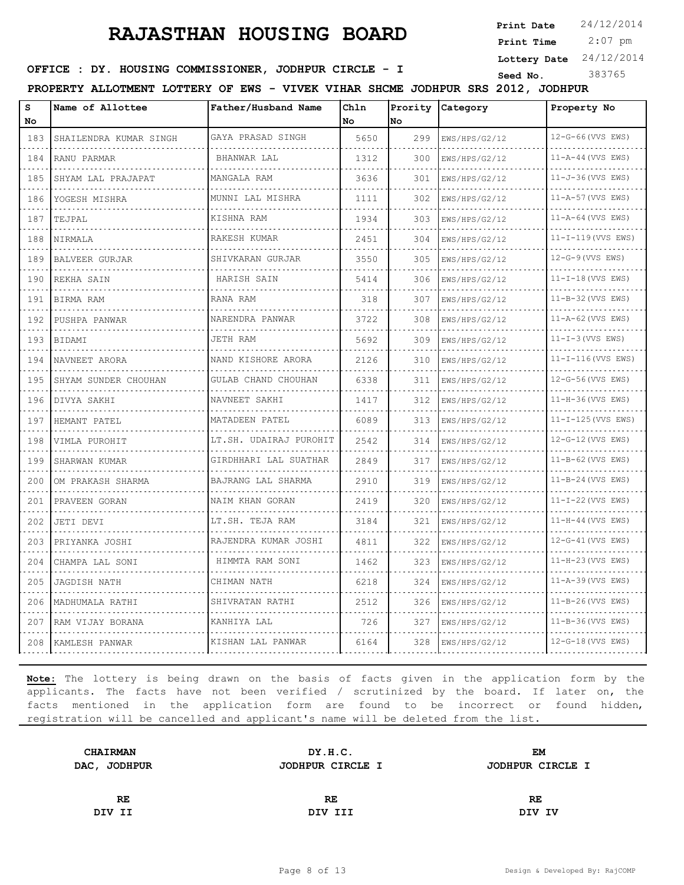**Print Date**  $24/12/2014$ 

 2:07 pm **Print Time**

**Lottery Date** 24/12/2014

**SEED IDER : DY. HOUSING COMMISSIONER, JODHPUR CIRCLE - I** Seed No. 383765

**PROPERTY ALLOTMENT LOTTERY OF EWS - VIVEK VIHAR SHCME JODHPUR SRS 2012, JODHPUR**

| S<br>No  | Name of Allottee       | Father/Husband Name     | Ch1n<br>No | Prority<br>No | Category      | Property No             |
|----------|------------------------|-------------------------|------------|---------------|---------------|-------------------------|
| 183      | SHAILENDRA KUMAR SINGH | GAYA PRASAD SINGH       | 5650       | 299           | EWS/HPS/G2/12 | 12-G-66 (VVS EWS)       |
| .<br>184 | RANU PARMAR            | <u>.</u><br>BHANWAR LAL | 1312       | 300           | EWS/HPS/G2/12 | 11-A-44 (VVS EWS)       |
| 185      | SHYAM LAL PRAJAPAT     | MANGALA RAM             | 3636       | 301           | EWS/HPS/G2/12 | $11 - J - 36$ (VVS EWS) |
| 186      | YOGESH MISHRA          | MUNNI LAL MISHRA        | 1111       | 302           | EWS/HPS/G2/12 | 11-A-57 (VVS EWS)       |
| .<br>187 | TEJPAL                 | .<br>KISHNA RAM         | 1934       | 303           | EWS/HPS/G2/12 | 11-A-64 (VVS EWS)       |
| 188      | NIRMALA                | RAKESH KUMAR            | 2451       | 304           | EWS/HPS/G2/12 | $11-T-119$ (VVS EWS)    |
| 189      | <b>BALVEER GURJAR</b>  | SHIVKARAN GURJAR        | 3550       | 305           | EWS/HPS/G2/12 | $12-G-9$ (VVS EWS)      |
| 190      | REKHA SAIN             | .<br>HARISH SAIN        | 5414       | 306           | EWS/HPS/G2/12 | $11-I-18$ (VVS EWS)     |
| 191      | BIRMA RAM              | RANA RAM                | 318        | 307           | EWS/HPS/G2/12 | 11-B-32 (VVS EWS)       |
| 192      | PUSHPA PANWAR          | NARENDRA PANWAR         | 3722       | 308           | EWS/HPS/G2/12 | 11-A-62 (VVS EWS)       |
| .<br>193 | BIDAMI                 | JETH RAM                | 5692       | 309           | EWS/HPS/G2/12 | $11-I-3$ (VVS EWS)      |
| 194      | NAVNEET ARORA          | NAND KISHORE ARORA      | 2126       | 310           | EWS/HPS/G2/12 | 11-I-116 (VVS EWS)      |
| 195      | SHYAM SUNDER CHOUHAN   | GULAB CHAND CHOUHAN     | 6338       | 311           | EWS/HPS/G2/12 | 12-G-56 (VVS EWS)       |
| .<br>196 | DIVYA SAKHI            | NAVNEET SAKHI           | 1417       | 312           | EWS/HPS/G2/12 | 11-H-36 (VVS EWS)       |
| 197      | HEMANT PATEL           | MATADEEN PATEL          | 6089       | 313           | EWS/HPS/G2/12 | 11-I-125 (VVS EWS)      |
| 198      | VIMLA PUROHIT          | LT.SH. UDAIRAJ PUROHIT  | 2542       | 314           | EWS/HPS/G2/12 | 12-G-12 (VVS EWS)       |
| .<br>199 | SHARWAN KUMAR          | GIRDHHARI LAL SUATHAR   | 2849       | 317           | EWS/HPS/G2/12 | $11 - B - 62$ (VVS EWS) |
| 200      | OM PRAKASH SHARMA      | BAJRANG LAL SHARMA      | 2910       | 319           | EWS/HPS/G2/12 | 11-B-24 (VVS EWS)       |
| 201      | PRAVEEN GORAN          | NAIM KHAN GORAN<br>.    | 2419       | 320           | EWS/HPS/G2/12 | $11-I-22$ (VVS EWS)     |
| .<br>202 | JETI DEVI              | LT.SH. TEJA RAM         | 3184       | 321           | EWS/HPS/G2/12 | $11-H-44$ (VVS EWS)     |
| 203      | PRIYANKA JOSHI         | RAJENDRA KUMAR JOSHI    | 4811       | 322           | EWS/HPS/G2/12 | 12-G-41 (VVS EWS)       |
| 204      | CHAMPA LAL SONI        | HIMMTA RAM SONI         | 1462       | 323           | EWS/HPS/G2/12 | 11-H-23 (VVS EWS)       |
| .<br>205 | JAGDISH NATH           | CHIMAN NATH             | 6218       | 324           | EWS/HPS/G2/12 | $11 - A - 39$ (VVS EWS) |
| 206      | MADHUMALA RATHI        | SHIVRATAN RATHI         | 2512       | 326           | EWS/HPS/G2/12 | 11-B-26 (VVS EWS)       |
| 207      | RAM VIJAY BORANA       | KANHIYA LAL             | 726        | 327           | EWS/HPS/G2/12 | 11-B-36 (VVS EWS)       |
| 208      | KAMLESH PANWAR         | KISHAN LAL PANWAR       | 6164       | 328           | EWS/HPS/G2/12 | $12-G-18$ (VVS EWS)     |

| DY.H.C.          | EM               |
|------------------|------------------|
| JODHPUR CIRCLE I | JODHPUR CIRCLE I |
|                  |                  |
| RE               | RE               |
| DIV III          | DIV IV           |
|                  |                  |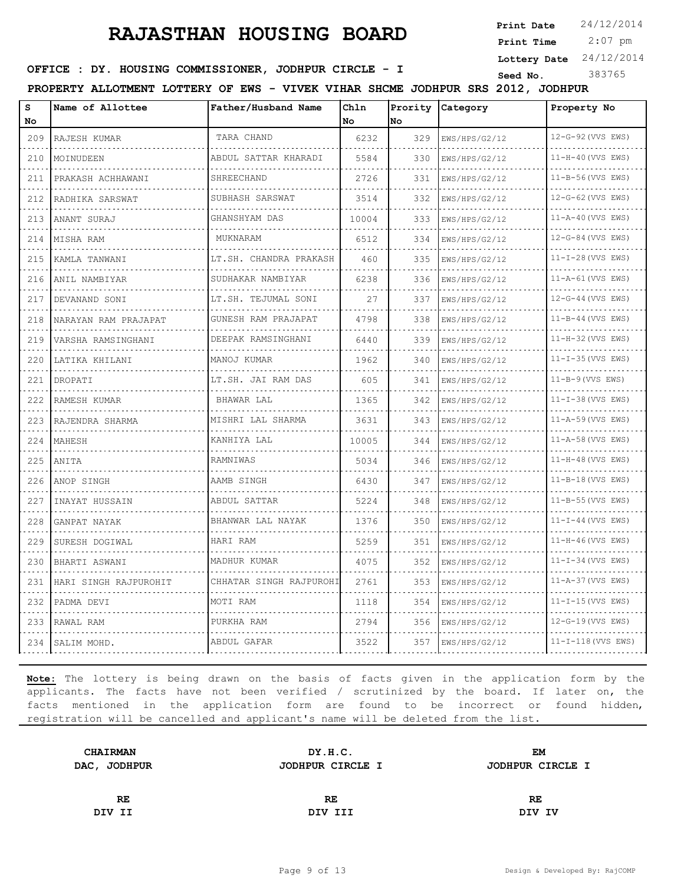**Print Date**  $24/12/2014$ 

 2:07 pm **Print Time**

**Lottery Date** 24/12/2014

### **SEED IDER : DY. HOUSING COMMISSIONER, JODHPUR CIRCLE - I** Seed No. 383765

**PROPERTY ALLOTMENT LOTTERY OF EWS - VIVEK VIHAR SHCME JODHPUR SRS 2012, JODHPUR**

| s<br>No                     | Name of Allottee      | Father/Husband Name     | Chln<br>No | lno | Prority Category | Property No              |
|-----------------------------|-----------------------|-------------------------|------------|-----|------------------|--------------------------|
| 209                         | RAJESH KUMAR          | TARA CHAND              | 6232       | 329 | EWS/HPS/G2/12    | 12-G-92 (VVS EWS)        |
| 210                         | MOINUDEEN             | ABDUL SATTAR KHARADI    | 5584       | 330 | EWS/HPS/G2/12    | 11-H-40 (VVS EWS)        |
| 211                         | PRAKASH ACHHAWANI     | SHREECHAND              | 2726       | 331 | EWS/HPS/G2/12    | 11-B-56 (VVS EWS)        |
| 212                         | RADHIKA SARSWAT       | SUBHASH SARSWAT         | 3514       | 332 | EWS/HPS/G2/12    | 12-G-62 (VVS EWS)        |
| <b>Service</b><br>213       | ANANT SURAJ           | GHANSHYAM DAS           | 10004      | 333 | EWS/HPS/G2/12    | 11-A-40 (VVS EWS)        |
| 214                         | MISHA RAM             | MUKNARAM                | 6512       | 334 | EWS/HPS/G2/12    | 12-G-84 (VVS EWS)        |
| 215                         | KAMLA TANWANI         | LT.SH. CHANDRA PRAKASH  | 460        | 335 | EWS/HPS/G2/12    | $11 - I - 28$ (VVS EWS)  |
| 216                         | ANIL NAMBIYAR         | SUDHAKAR NAMBIYAR       | 6238       | 336 | EWS/HPS/G2/12    | 11-A-61 (VVS EWS)        |
| 217                         | DEVANAND SONI         | LT.SH. TEJUMAL SONI     | 27         | 337 | EWS/HPS/G2/12    | 12-G-44 (VVS EWS)        |
| 218                         | NARAYAN RAM PRAJAPAT  | GUNESH RAM PRAJAPAT     | 4798       | 338 | EWS/HPS/G2/12    | $11 - B - 44$ (VVS EWS)  |
| 219                         | VARSHA RAMSINGHANI    | DEEPAK RAMSINGHANI      | 6440       | 339 | EWS/HPS/G2/12    | 11-H-32 (VVS EWS)        |
| 220                         | LATIKA KHILANI        | MANOJ KUMAR             | 1962       | 340 | EWS/HPS/G2/12    | $11 - I - 35$ (VVS EWS)  |
| 221                         | DROPATI               | LT.SH. JAI RAM DAS<br>. | 605        | 341 | EWS/HPS/G2/12    | $11 - B - 9$ (VVS EWS)   |
| 222                         | RAMESH KUMAR          | BHAWAR LAL              | 1365       | 342 | EWS/HPS/G2/12    | $11 - I - 38$ (VVS EWS)  |
| 223                         | RAJENDRA SHARMA       | MISHRI LAL SHARMA       | 3631       | 343 | EWS/HPS/G2/12    | 11-A-59 (VVS EWS)        |
| 224                         | MAHESH                | KANHIYA LAL             | 10005      | 344 | EWS/HPS/G2/12    | 11-A-58 (VVS EWS)        |
| $\sim$ $\sim$ $\sim$<br>225 | ANITA                 | RAMNIWAS                | 5034       | 346 | EWS/HPS/G2/12    | 11-H-48 (VVS EWS)        |
| 226                         | ANOP SINGH            | AAMB SINGH              | 6430       | 347 | EWS/HPS/G2/12    | 11-B-18 (VVS EWS)        |
| 227                         | INAYAT HUSSAIN        | ABDUL SATTAR            | 5224       | 348 | EWS/HPS/G2/12    | 11-B-55 (VVS EWS)        |
| $  -$<br>228                | GANPAT NAYAK          | BHANWAR LAL NAYAK       | 1376       | 350 | EWS/HPS/G2/12    | $11-I-44$ (VVS EWS)      |
| 229                         | SURESH DOGIWAL        | HARI RAM                | 5259       | 351 | EWS/HPS/G2/12    | 11-H-46 (VVS EWS)        |
| 230                         | BHARTI ASWANI         | MADHUR KUMAR            | 4075       | 352 | EWS/HPS/G2/12    | $11 - I - 34$ (VVS EWS)  |
| 231                         | HARI SINGH RAJPUROHIT | CHHATAR SINGH RAJPUROHI | 2761       | 353 | EWS/HPS/G2/12    | 11-A-37 (VVS EWS)        |
| 232                         | PADMA DEVI            | MOTI RAM                | 1118       | 354 | EWS/HPS/G2/12    | $11-I-15$ (VVS EWS)      |
| 233                         | RAWAL RAM             | PURKHA RAM              | 2794       | 356 | EWS/HPS/G2/12    | 12-G-19 (VVS EWS)        |
| 234                         | SALIM MOHD.           | ABDUL GAFAR             | 3522       | 357 | EWS/HPS/G2/12    | $11 - I - 118$ (VVS EWS) |

| <b>CHAIRMAN</b> | DY.H.C.          | EM               |  |
|-----------------|------------------|------------------|--|
| DAC, JODHPUR    | JODHPUR CIRCLE I | JODHPUR CIRCLE I |  |
|                 |                  |                  |  |
| RE              | RE.              | RE               |  |
| DIV II          | DIV III          | DIV IV           |  |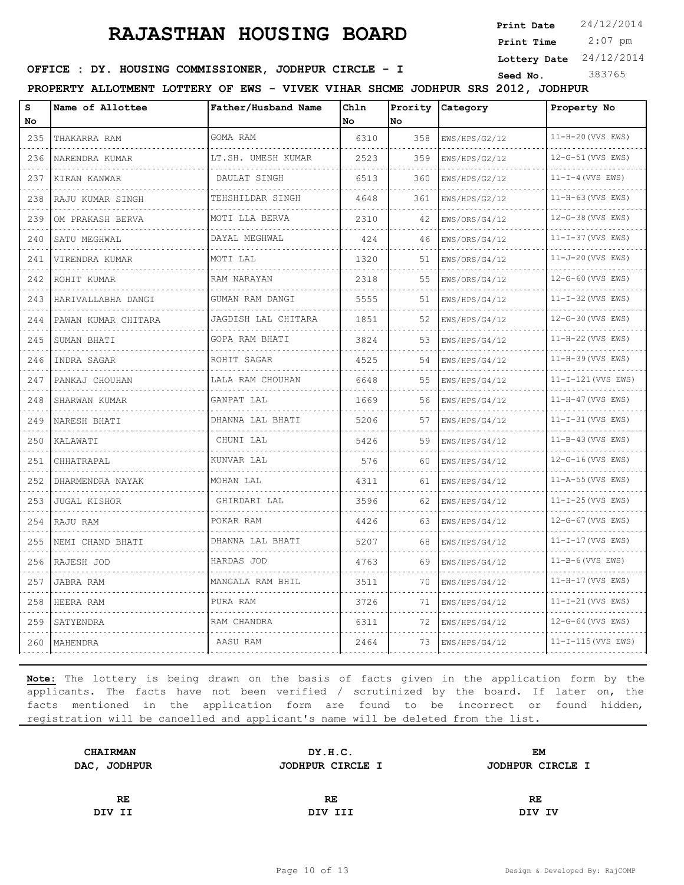**Print Date**  $24/12/2014$ 

 2:07 pm **Print Time**

**Lottery Date** 24/12/2014

### **SEED IDER : DY. HOUSING COMMISSIONER, JODHPUR CIRCLE - I** Seed No. 383765

**PROPERTY ALLOTMENT LOTTERY OF EWS - VIVEK VIHAR SHCME JODHPUR SRS 2012, JODHPUR**

| s<br>Νo | Name of Allottee    | Father/Husband Name   | Chln<br>No | No  | Prority Category | Property No              |
|---------|---------------------|-----------------------|------------|-----|------------------|--------------------------|
| 235     | THAKARRA RAM        | GOMA RAM              | 6310       | 358 | EWS/HPS/G2/12    | 11-H-20 (VVS EWS)        |
| 236     | .<br>NARENDRA KUMAR | LT.SH. UMESH KUMAR    | 2523       | 359 | EWS/HPS/G2/12    | 12-G-51 (VVS EWS)        |
| 237     | KIRAN KANWAR        | DAULAT SINGH          | 6513       | 360 | EWS/HPS/G2/12    | $11-I-4$ (VVS EWS)       |
| 238     | RAJU KUMAR SINGH    | TEHSHILDAR SINGH      | 4648       | 361 | EWS/HPS/G2/12    | 11-H-63 (VVS EWS)        |
| 239     | OM PRAKASH BERVA    | .<br>MOTI LLA BERVA   | 2310       | 42  | EWS/ORS/G4/12    | 12-G-38 (VVS EWS)        |
| 240     | SATU MEGHWAL        | .<br>DAYAL MEGHWAL    | 424        | 46  | EWS/ORS/G4/12    | $11 - I - 37$ (VVS EWS)  |
| 241     | VIRENDRA KUMAR      | MOTI LAL              | 1320       | 51  | EWS/ORS/G4/12    | 11-J-20 (VVS EWS)        |
| 242     | ROHIT KUMAR         | RAM NARAYAN           | 2318       | 55  | EWS/ORS/G4/12    | 12-G-60 (VVS EWS)        |
| 243     | HARIVALLABHA DANGI  | .<br>GUMAN RAM DANGI  | 5555       | 51  | EWS/HPS/G4/12    | $11 - I - 32$ (VVS EWS)  |
| 244     | PAWAN KUMAR CHITARA | JAGDISH LAL CHITARA   | 1851       | 52  | EWS/HPS/G4/12    | 12-G-30 (VVS EWS)        |
| 245     | SUMAN BHATI         | .<br>GOPA RAM BHATI   | 3824       | 53  | EWS/HPS/G4/12    | 11-H-22(VVS EWS)         |
| 246     | INDRA SAGAR         | ROHIT SAGAR           | 4525       | 54  | EWS/HPS/G4/12    | 11-H-39 (VVS EWS)        |
| 247     | PANKAJ CHOUHAN      | LALA RAM CHOUHAN      | 6648       | 55  | EWS/HPS/G4/12    | 11-I-121 (VVS EWS)       |
| 248     | SHARWAN KUMAR       | .<br>GANPAT LAL       | 1669       | 56  | EWS/HPS/G4/12    | 11-H-47 (VVS EWS)        |
| 249     | NARESH BHATI        | DHANNA LAL BHATI      | 5206       | 57  | EWS/HPS/G4/12    | $11-I-31$ (VVS EWS)      |
| 250     | KALAWATI            | CHUNI LAL             | 5426       | 59  | EWS/HPS/G4/12    | 11-B-43 (VVS EWS)        |
| 251     | CHHATRAPAL          | KUNVAR LAL            | 576        | 60  | EWS/HPS/G4/12    | 12-G-16 (VVS EWS)        |
| 252     | DHARMENDRA NAYAK    | MOHAN LAL             | 4311       | 61  | EWS/HPS/G4/12    | $11 - A - 55$ (VVS EWS)  |
| 253     | <b>JUGAL KISHOR</b> | GHIRDARI LAL          | 3596       | 62  | EWS/HPS/G4/12    | $11-I-25$ (VVS EWS)      |
| 254     | RAJU RAM            | POKAR RAM             | 4426       | 63  | EWS/HPS/G4/12    | 12-G-67 (VVS EWS)        |
| 255     | NEMI CHAND BHATI    | DHANNA LAL BHATI      | 5207       | 68  | EWS/HPS/G4/12    | $11-I-17$ (VVS EWS)      |
| 256     | RAJESH JOD          | HARDAS JOD            | 4763       | 69  | EWS/HPS/G4/12    | $11-B-6$ (VVS EWS)       |
| 257     | JABRA RAM           | .<br>MANGALA RAM BHIL | 3511       | 70  | EWS/HPS/G4/12    | 11-H-17 (VVS EWS)        |
| 258     | HEERA RAM           | PURA RAM              | 3726       | 71  | EWS/HPS/G4/12    | 11-I-21(VVS EWS)         |
| 259     | SATYENDRA           | RAM CHANDRA           | 6311       | 72  | EWS/HPS/G4/12    | 12-G-64 (VVS EWS)        |
| 260     | MAHENDRA            | AASU RAM              | 2464       | 73  | EWS/HPS/G4/12    | $11 - I - 115$ (VVS EWS) |

| DY.H.C.          | EМ               |
|------------------|------------------|
| JODHPUR CIRCLE I | JODHPUR CIRCLE I |
|                  |                  |
| RE               | RE               |
| DIV III          | DIV IV           |
|                  |                  |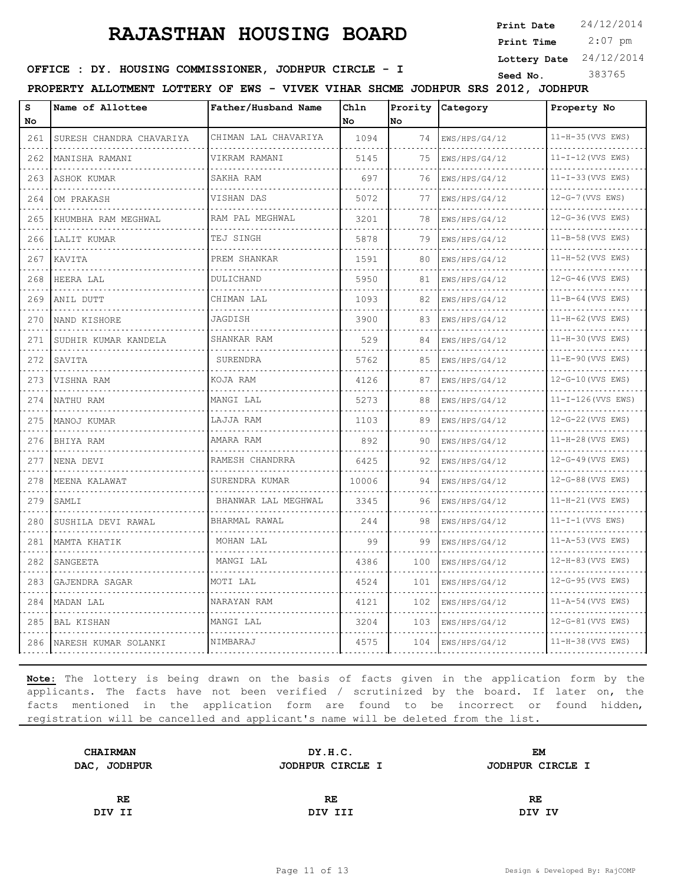**Print Date**  $24/12/2014$ 

 2:07 pm **Print Time**

**Lottery Date** 24/12/2014

### **SEED IDER : DY. HOUSING COMMISSIONER, JODHPUR CIRCLE - I** Seed No. 383765

**PROPERTY ALLOTMENT LOTTERY OF EWS - VIVEK VIHAR SHCME JODHPUR SRS 2012, JODHPUR**

| s<br>No                     | Name of Allottee         | Father/Husband Name  | Chln<br>No | No  | Prority Category | Property No                                |
|-----------------------------|--------------------------|----------------------|------------|-----|------------------|--------------------------------------------|
| 261                         | SURESH CHANDRA CHAVARIYA | CHIMAN LAL CHAVARIYA | 1094       | 74  | EWS/HPS/G4/12    | 11-H-35 (VVS EWS)                          |
| 262                         | MANISHA RAMANI           | VIKRAM RAMANI        | 5145       | 75  | EWS/HPS/G4/12    | dia dia dia dia dia<br>$11-I-12$ (VVS EWS) |
| 263                         | ASHOK KUMAR              | SAKHA RAM            | 697        | 76  | EWS/HPS/G4/12    | $11 - I - 33$ (VVS EWS)                    |
| 264                         | OM PRAKASH               | VISHAN DAS           | 5072       | 77  | EWS/HPS/G4/12    | .<br>12-G-7 (VVS EWS)                      |
| 265                         | KHUMBHA RAM MEGHWAL      | RAM PAL MEGHWAL      | 3201       | 78  | EWS/HPS/G4/12    | 12-G-36 (VVS EWS)                          |
| $  -$<br>266                | LALIT KUMAR<br>.         | TEJ SINGH            | 5878       | 79  | EWS/HPS/G4/12    | 11-B-58 (VVS EWS)                          |
| 267                         | KAVITA                   | PREM SHANKAR         | 1591       | 80  | EWS/HPS/G4/12    | 11-H-52 (VVS EWS)<br>.                     |
| 268                         | HEERA LAL                | DULICHAND            | 5950       | 81  | EWS/HPS/G4/12    | 12-G-46 (VVS EWS)                          |
| $\sim$ $\sim$ $\sim$<br>269 | ANIL DUTT                | CHIMAN LAL           | 1093       | 82  | EWS/HPS/G4/12    | 11-B-64 (VVS EWS)                          |
| $\sim$ $\sim$ $\sim$<br>270 | NAND KISHORE             | JAGDISH              | 3900       | 83  | EWS/HPS/G4/12    | $11-H-62$ (VVS EWS)                        |
| 271<br>.                    | SUDHIR KUMAR KANDELA     | SHANKAR RAM          | 529        | 84  | EWS/HPS/G4/12    | 11-H-30 (VVS EWS)                          |
| 272                         | SAVITA                   | SURENDRA             | 5762       | 85  | EWS/HPS/G4/12    | 11-E-90 (VVS EWS)<br>.                     |
| .<br>273                    | VISHNA RAM               | KOJA RAM             | 4126       | 87  | EWS/HPS/G4/12    | 12-G-10 (VVS EWS)                          |
| 274                         | NATHU RAM                | MANGI LAL            | 5273       | 88  | EWS/HPS/G4/12    | 11-I-126 (VVS EWS)                         |
| 275                         | MANOJ KUMAR              | LAJJA RAM            | 1103       | 89  | EWS/HPS/G4/12    | 12-G-22 (VVS EWS)<br>.                     |
| 276                         | BHIYA RAM                | AMARA RAM            | 892        | 90  | EWS/HPS/G4/12    | 11-H-28 (VVS EWS)                          |
| 277                         | NENA DEVI                | RAMESH CHANDRRA      | 6425       | 92  | EWS/HPS/G4/12    | 12-G-49 (VVS EWS)                          |
| 278                         | MEENA KALAWAT            | SURENDRA KUMAR<br>.  | 10006      | 94  | EWS/HPS/G4/12    | 12-G-88 (VVS EWS)<br>.                     |
| 279                         | SAMLI                    | BHANWAR LAL MEGHWAL  | 3345       | 96  | EWS/HPS/G4/12    | $11-H-21$ (VVS EWS)                        |
| 280                         | SUSHILA DEVI RAWAL       | BHARMAL RAWAL        | 244        | 98  | EWS/HPS/G4/12    | $11-I-1$ (VVS EWS)                         |
| 281                         | MAMTA KHATIK             | MOHAN LAL            | 99         | 99  | EWS/HPS/G4/12    | 11-A-53 (VVS EWS)                          |
| 282                         | SANGEETA                 | MANGI LAL            | 4386       | 100 | EWS/HPS/G4/12    | 12-H-83 (VVS EWS)                          |
| 283                         | GAJENDRA SAGAR           | MOTI LAL             | 4524       | 101 | EWS/HPS/G4/12    | 12-G-95 (VVS EWS)                          |
| 284                         | MADAN LAL                | NARAYAN RAM          | 4121       | 102 | EWS/HPS/G4/12    | 11-A-54 (VVS EWS)                          |
| 285                         | <b>BAL KISHAN</b>        | MANGI LAL            | 3204       | 103 | EWS/HPS/G4/12    | 12-G-81 (VVS EWS)                          |
| 286                         | NARESH KUMAR SOLANKI     | NIMBARAJ             | 4575       | 104 | EWS/HPS/G4/12    | 11-H-38 (VVS EWS)                          |

| DY.H.C.          | <b>EM</b>        |  |
|------------------|------------------|--|
| JODHPUR CIRCLE I | JODHPUR CIRCLE I |  |
|                  |                  |  |
| <b>RE</b>        | RE               |  |
| DIV III          | DIV IV           |  |
|                  |                  |  |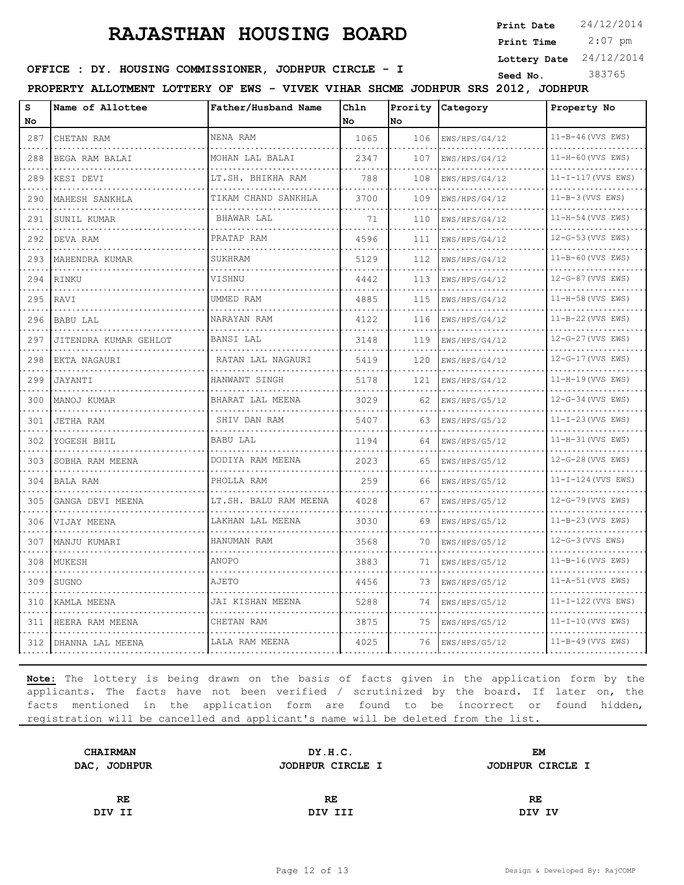**Print Date**  $24/12/2014$ 

 2:07 pm **Print Time**

**Lottery Date** 24/12/2014

**SEED IDER : DY. HOUSING COMMISSIONER, JODHPUR CIRCLE - I** Seed No. 383765

**PROPERTY ALLOTMENT LOTTERY OF EWS - VIVEK VIHAR SHCME JODHPUR SRS 2012, JODHPUR**

| s   | Name of Allottee      | Father/Husband Name       | Ch1n |     | Prority Category | Property No              |
|-----|-----------------------|---------------------------|------|-----|------------------|--------------------------|
| No  |                       |                           | No   | No  |                  |                          |
| 287 | CHETAN RAM            | NENA RAM                  | 1065 | 106 | EWS/HPS/G4/12    | $11 - B - 46$ (VVS EWS)  |
| 288 | BEGA RAM BALAI        | MOHAN LAL BALAI           | 2347 | 107 | EWS/HPS/G4/12    | 11-H-60 (VVS EWS)        |
| 289 | KESI DEVI             | LT.SH. BHIKHA RAM         | 788  | 108 | EWS/HPS/G4/12    | $11 - I - 117$ (VVS EWS) |
| 290 | MAHESH SANKHLA        | TIKAM CHAND SANKHLA       | 3700 | 109 | EWS/HPS/G4/12    | $11-B-3$ (VVS EWS)       |
| 291 | SUNIL KUMAR           | BHAWAR LAL                | 71   | 110 | EWS/HPS/G4/12    | $11-H-54$ (VVS EWS)      |
| 292 | DEVA RAM              | PRATAP RAM                | 4596 | 111 | EWS/HPS/G4/12    | 12-G-53 (VVS EWS)        |
| 293 | MAHENDRA KUMAR        | SUKHRAM                   | 5129 | 112 | EWS/HPS/G4/12    | $11 - B - 60$ (VVS EWS)  |
| 294 | RINKU                 | VISHNU                    | 4442 | 113 | EWS/HPS/G4/12    | 12-G-87 (VVS EWS)        |
| 295 | RAVI                  | UMMED RAM                 | 4885 | 115 | EWS/HPS/G4/12    | 11-H-58 (VVS EWS)        |
| 296 | <b>BABU LAL</b>       | NARAYAN RAM               | 4122 | 116 | EWS/HPS/G4/12    | $11-B-22$ (VVS EWS)      |
| 297 | JITENDRA KUMAR GEHLOT | BANSI LAL                 | 3148 | 119 | EWS/HPS/G4/12    | 12-G-27 (VVS EWS)        |
| 298 | EKTA NAGAURI          | RATAN LAL NAGAURI         | 5419 | 120 | EWS/HPS/G4/12    | 12-G-17 (VVS EWS)        |
| 299 | JAYANTI               | HANWANT SINGH<br><u>.</u> | 5178 | 121 | EWS/HPS/G4/12    | $11-H-19$ (VVS EWS)      |
| 300 | MANOJ KUMAR           | BHARAT LAL MEENA          | 3029 | 62  | EWS/HPS/G5/12    | 12-G-34 (VVS EWS)        |
| 301 | <b>JETHA RAM</b>      | SHIV DAN RAM              | 5407 | 63  | EWS/HPS/G5/12    | $11 - I - 23$ (VVS EWS)  |
| 302 | YOGESH BHIL           | BABU LAL                  | 1194 | 64  | EWS/HPS/G5/12    | 11-H-31 (VVS EWS)        |
| 303 | SOBHA RAM MEENA       | DODIYA RAM MEENA          | 2023 | 65  | EWS/HPS/G5/12    | 12-G-28 (VVS EWS)        |
| 304 | BALA RAM              | PHOLLA RAM                | 259  | 66  | EWS/HPS/G5/12    | $11-I-124$ (VVS EWS)     |
| 305 | GANGA DEVI MEENA      | LT.SH. BALU RAM MEENA     | 4028 | 67  | EWS/HPS/G5/12    | 12-G-79 (VVS EWS)        |
| 306 | VIJAY MEENA           | LAKHAN LAL MEENA          | 3030 | 69  | EWS/HPS/G5/12    | 11-B-23 (VVS EWS)        |
| 307 | MANJU KUMARI          | HANUMAN RAM               | 3568 | 70  | EWS/HPS/G5/12    | $12-G-3$ (VVS EWS)       |
| 308 | MUKESH                | ANOPO                     | 3883 | 71  | EWS/HPS/G5/12    | $11 - B - 16$ (VVS EWS)  |
| 309 | SUGNO                 | AJETO                     | 4456 | 73  | EWS/HPS/G5/12    | 11-A-51 (VVS EWS)        |
| 310 | KAMLA MEENA           | JAI KISHAN MEENA          | 5288 | 74  | EWS/HPS/G5/12    | $11 - I - 122$ (VVS EWS) |
| 311 | HEERA RAM MEENA       | CHETAN RAM                | 3875 | 75  | EWS/HPS/G5/12    | $11 - I - 10$ (VVS EWS)  |
| 312 | DHANNA LAL MEENA      | LALA RAM MEENA            | 4025 | 76  | EWS/HPS/G5/12    | $11 - B - 49$ (VVS EWS)  |

| <b>CHAIRMAN</b> | DY.H.C.          | EМ               |  |
|-----------------|------------------|------------------|--|
| DAC, JODHPUR    | JODHPUR CIRCLE I | JODHPUR CIRCLE I |  |
|                 |                  |                  |  |
| RE.             | RE               | RE               |  |
| DIV II          | DIV III          | DIV IV           |  |
|                 |                  |                  |  |